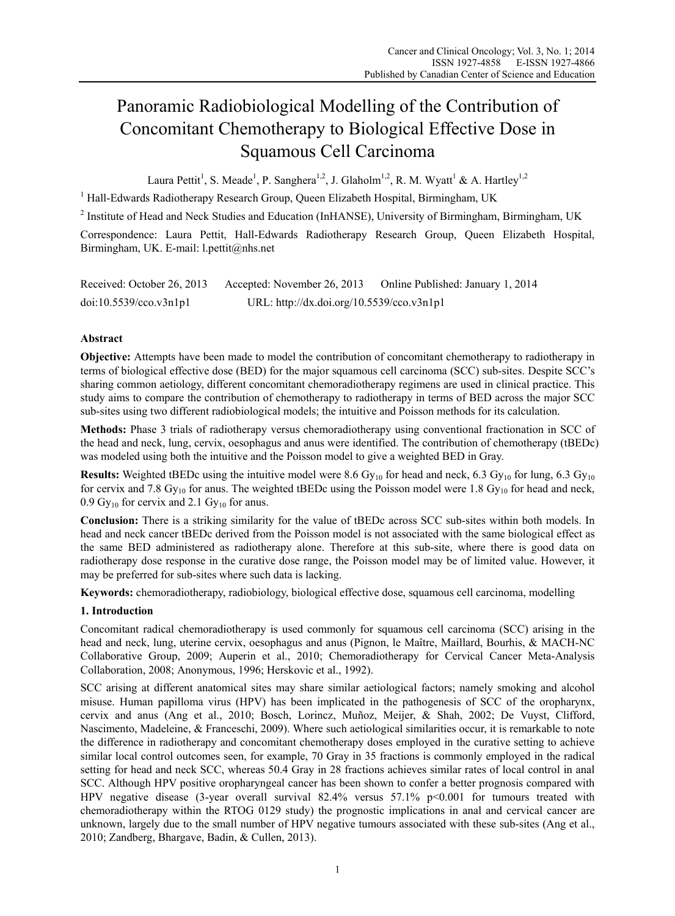# Panoramic Radiobiological Modelling of the Contribution of Concomitant Chemotherapy to Biological Effective Dose in Squamous Cell Carcinoma

Laura Pettit<sup>1</sup>, S. Meade<sup>1</sup>, P. Sanghera<sup>1,2</sup>, J. Glaholm<sup>1,2</sup>, R. M. Wyatt<sup>1</sup> & A. Hartley<sup>1,2</sup>

<sup>1</sup> Hall-Edwards Radiotherapy Research Group, Queen Elizabeth Hospital, Birmingham, UK

<sup>2</sup> Institute of Head and Neck Studies and Education (InHANSE), University of Birmingham, Birmingham, UK

Correspondence: Laura Pettit, Hall-Edwards Radiotherapy Research Group, Queen Elizabeth Hospital, Birmingham, UK. E-mail: l.pettit@nhs.net

| Received: October 26, 2013 | Accepted: November 26, 2013               | Online Published: January 1, 2014 |
|----------------------------|-------------------------------------------|-----------------------------------|
| doi:10.5539/cco.v3n1p1     | URL: http://dx.doi.org/10.5539/cco.v3n1p1 |                                   |

## **Abstract**

**Objective:** Attempts have been made to model the contribution of concomitant chemotherapy to radiotherapy in terms of biological effective dose (BED) for the major squamous cell carcinoma (SCC) sub-sites. Despite SCC's sharing common aetiology, different concomitant chemoradiotherapy regimens are used in clinical practice. This study aims to compare the contribution of chemotherapy to radiotherapy in terms of BED across the major SCC sub-sites using two different radiobiological models; the intuitive and Poisson methods for its calculation.

**Methods:** Phase 3 trials of radiotherapy versus chemoradiotherapy using conventional fractionation in SCC of the head and neck, lung, cervix, oesophagus and anus were identified. The contribution of chemotherapy (tBEDc) was modeled using both the intuitive and the Poisson model to give a weighted BED in Gray.

**Results:** Weighted tBEDc using the intuitive model were 8.6  $Gy_{10}$  for head and neck, 6.3  $Gy_{10}$  for lung, 6.3  $Gy_{10}$ for cervix and 7.8 Gy<sub>10</sub> for anus. The weighted tBEDc using the Poisson model were 1.8 Gy<sub>10</sub> for head and neck, 0.9 Gy<sub>10</sub> for cervix and 2.1 Gy<sub>10</sub> for anus.

**Conclusion:** There is a striking similarity for the value of tBEDc across SCC sub-sites within both models. In head and neck cancer tBEDc derived from the Poisson model is not associated with the same biological effect as the same BED administered as radiotherapy alone. Therefore at this sub-site, where there is good data on radiotherapy dose response in the curative dose range, the Poisson model may be of limited value. However, it may be preferred for sub-sites where such data is lacking.

**Keywords:** chemoradiotherapy, radiobiology, biological effective dose, squamous cell carcinoma, modelling

## **1. Introduction**

Concomitant radical chemoradiotherapy is used commonly for squamous cell carcinoma (SCC) arising in the head and neck, lung, uterine cervix, oesophagus and anus (Pignon, le Maître, Maillard, Bourhis, & MACH-NC Collaborative Group, 2009; Auperin et al., 2010; Chemoradiotherapy for Cervical Cancer Meta-Analysis Collaboration, 2008; Anonymous, 1996; Herskovic et al., 1992).

SCC arising at different anatomical sites may share similar aetiological factors; namely smoking and alcohol misuse. Human papilloma virus (HPV) has been implicated in the pathogenesis of SCC of the oropharynx, cervix and anus (Ang et al., 2010; Bosch, Lorincz, Muñoz, Meijer, & Shah, 2002; De Vuyst, Clifford, Nascimento, Madeleine, & Franceschi, 2009). Where such aetiological similarities occur, it is remarkable to note the difference in radiotherapy and concomitant chemotherapy doses employed in the curative setting to achieve similar local control outcomes seen, for example, 70 Gray in 35 fractions is commonly employed in the radical setting for head and neck SCC, whereas 50.4 Gray in 28 fractions achieves similar rates of local control in anal SCC. Although HPV positive oropharyngeal cancer has been shown to confer a better prognosis compared with HPV negative disease (3-year overall survival  $82.4\%$  versus  $57.1\%$  p<0.001 for tumours treated with chemoradiotherapy within the RTOG 0129 study) the prognostic implications in anal and cervical cancer are unknown, largely due to the small number of HPV negative tumours associated with these sub-sites (Ang et al., 2010; Zandberg, Bhargave, Badin, & Cullen, 2013).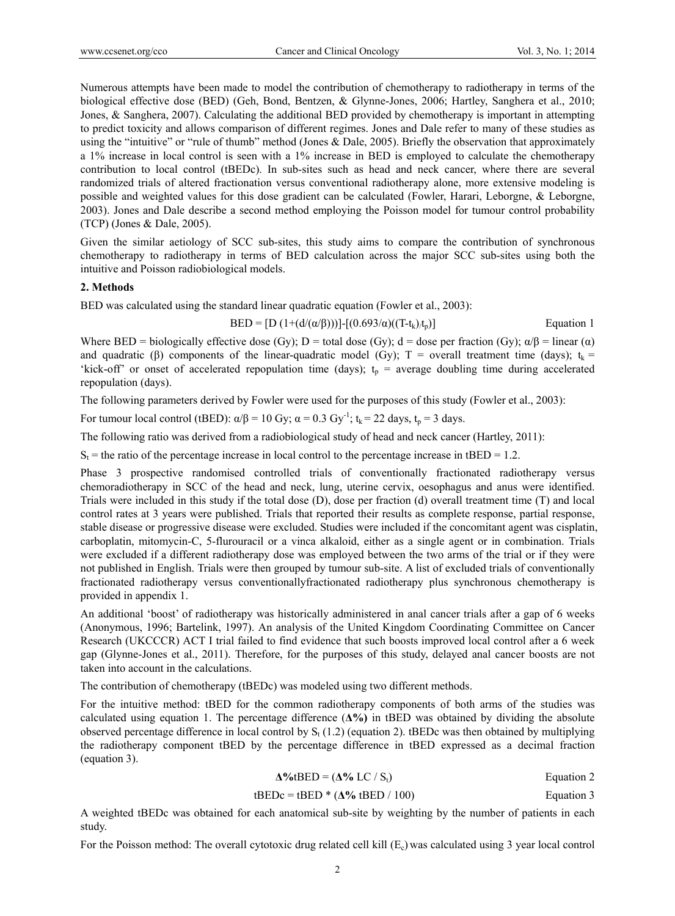Numerous attempts have been made to model the contribution of chemotherapy to radiotherapy in terms of the biological effective dose (BED) (Geh, Bond, Bentzen, & Glynne-Jones, 2006; Hartley, Sanghera et al., 2010; Jones, & Sanghera, 2007). Calculating the additional BED provided by chemotherapy is important in attempting to predict toxicity and allows comparison of different regimes. Jones and Dale refer to many of these studies as using the "intuitive" or "rule of thumb" method (Jones & Dale, 2005). Briefly the observation that approximately a 1% increase in local control is seen with a 1% increase in BED is employed to calculate the chemotherapy contribution to local control (tBEDc). In sub-sites such as head and neck cancer, where there are several randomized trials of altered fractionation versus conventional radiotherapy alone, more extensive modeling is possible and weighted values for this dose gradient can be calculated (Fowler, Harari, Leborgne, & Leborgne, 2003). Jones and Dale describe a second method employing the Poisson model for tumour control probability (TCP) (Jones & Dale, 2005).

Given the similar aetiology of SCC sub-sites, this study aims to compare the contribution of synchronous chemotherapy to radiotherapy in terms of BED calculation across the major SCC sub-sites using both the intuitive and Poisson radiobiological models.

#### **2. Methods**

BED was calculated using the standard linear quadratic equation (Fowler et al., 2003):

$$
BED = [D (1+(d/(\alpha/\beta)))] - [(0.693/\alpha)((T-t_k)/t_p)]
$$
 *Equation 1*

Where BED = biologically effective dose (Gy); D = total dose (Gy); d = dose per fraction (Gy);  $\alpha/\beta$  = linear ( $\alpha$ ) and quadratic (β) components of the linear-quadratic model (Gy); T = overall treatment time (days); t<sub>k</sub> = 'kick-off' or onset of accelerated repopulation time (days);  $t_p$  = average doubling time during accelerated repopulation (days).

The following parameters derived by Fowler were used for the purposes of this study (Fowler et al., 2003):

For tumour local control (tBED):  $\alpha/\beta = 10 \text{ Gy}$ ;  $\alpha = 0.3 \text{ Gy}^{-1}$ ;  $t_k = 22 \text{ days}$ ,  $t_p = 3 \text{ days}$ .

The following ratio was derived from a radiobiological study of head and neck cancer (Hartley, 2011):

 $S_t$  = the ratio of the percentage increase in local control to the percentage increase in tBED = 1.2.

Phase 3 prospective randomised controlled trials of conventionally fractionated radiotherapy versus chemoradiotherapy in SCC of the head and neck, lung, uterine cervix, oesophagus and anus were identified. Trials were included in this study if the total dose (D), dose per fraction (d) overall treatment time (T) and local control rates at 3 years were published. Trials that reported their results as complete response, partial response, stable disease or progressive disease were excluded. Studies were included if the concomitant agent was cisplatin, carboplatin, mitomycin-C, 5-flurouracil or a vinca alkaloid, either as a single agent or in combination. Trials were excluded if a different radiotherapy dose was employed between the two arms of the trial or if they were not published in English. Trials were then grouped by tumour sub-site. A list of excluded trials of conventionally fractionated radiotherapy versus conventionallyfractionated radiotherapy plus synchronous chemotherapy is provided in appendix 1.

An additional 'boost' of radiotherapy was historically administered in anal cancer trials after a gap of 6 weeks (Anonymous, 1996; Bartelink, 1997). An analysis of the United Kingdom Coordinating Committee on Cancer Research (UKCCCR) ACT I trial failed to find evidence that such boosts improved local control after a 6 week gap (Glynne-Jones et al., 2011). Therefore, for the purposes of this study, delayed anal cancer boosts are not taken into account in the calculations.

The contribution of chemotherapy (tBEDc) was modeled using two different methods.

For the intuitive method: tBED for the common radiotherapy components of both arms of the studies was calculated using equation 1. The percentage difference (**Δ%)** in tBED was obtained by dividing the absolute observed percentage difference in local control by  $S_t$  (1.2) (equation 2). tBEDc was then obtained by multiplying the radiotherapy component tBED by the percentage difference in tBED expressed as a decimal fraction (equation 3).

$$
\Delta\%tBED = (\Delta\% LC / S_t)
$$
 Equation 2

$$
tBEDc = tBED * (\Delta\% tBED / 100)
$$
 Equation 3

A weighted tBEDc was obtained for each anatomical sub-site by weighting by the number of patients in each study.

For the Poisson method: The overall cytotoxic drug related cell kill (E<sub>c</sub>) was calculated using 3 year local control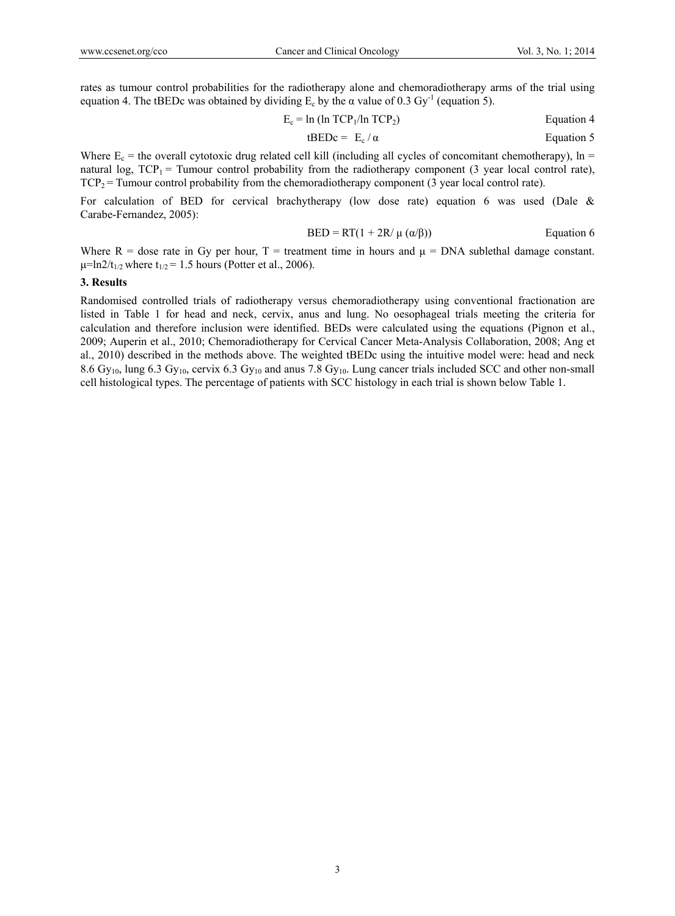rates as tumour control probabilities for the radiotherapy alone and chemoradiotherapy arms of the trial using equation 4. The tBEDc was obtained by dividing  $E_c$  by the  $\alpha$  value of 0.3 Gy<sup>-1</sup> (equation 5).

$$
E_c = \ln (\ln TCP_1/\ln TCP_2)
$$
 Equation 4

$$
tBEDc = E_c / \alpha
$$
 *Equation 5*

Where  $E_c$  = the overall cytotoxic drug related cell kill (including all cycles of concomitant chemotherapy),  $\ln$  = natural log,  $TCP_1 = Tumour control probability from the radiotherapy component (3 year local control rate),$  $TCP_2 = Tunour control probability from the chemoradiot, the theory component (3 year local control rate).$ 

For calculation of BED for cervical brachytherapy (low dose rate) equation 6 was used (Dale  $\&$ Carabe-Fernandez, 2005):

$$
BED = RT(1 + 2R/\mu(\alpha/\beta))
$$
 Equation 6

Where R = dose rate in Gy per hour, T = treatment time in hours and  $\mu$  = DNA sublethal damage constant.  $\mu$ =ln2/t<sub>1/2</sub> where t<sub>1/2</sub> = 1.5 hours (Potter et al., 2006).

#### **3. Results**

Randomised controlled trials of radiotherapy versus chemoradiotherapy using conventional fractionation are listed in Table 1 for head and neck, cervix, anus and lung. No oesophageal trials meeting the criteria for calculation and therefore inclusion were identified. BEDs were calculated using the equations (Pignon et al., 2009; Auperin et al., 2010; Chemoradiotherapy for Cervical Cancer Meta-Analysis Collaboration, 2008; Ang et al., 2010) described in the methods above. The weighted tBEDc using the intuitive model were: head and neck 8.6 Gy10, lung 6.3 Gy10, cervix 6.3 Gy10 and anus 7.8 Gy10. Lung cancer trials included SCC and other non-small cell histological types. The percentage of patients with SCC histology in each trial is shown below Table 1.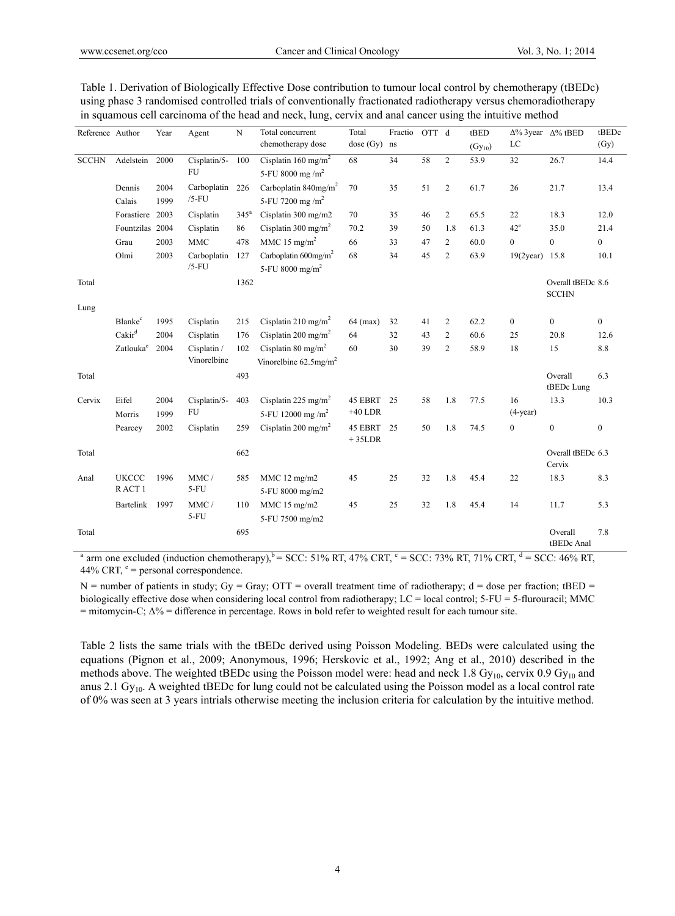| Reference Author |                                   | Year         | Agent                   | N             | Total concurrent<br>chemotherapy dose                              | Total<br>dose $(Gy)$ | Fractio<br>ns | OTT d |                | tBED<br>$(Gy_{10})$ | LC               | $\Delta\%$ 3year $\Delta\%$ tBED  | tBEDc<br>(Gy)    |
|------------------|-----------------------------------|--------------|-------------------------|---------------|--------------------------------------------------------------------|----------------------|---------------|-------|----------------|---------------------|------------------|-----------------------------------|------------------|
| <b>SCCHN</b>     | Adelstein                         | 2000         | Cisplatin/5-<br>FU      | 100           | Cisplatin 160 mg/m <sup>2</sup><br>5-FU 8000 mg/m <sup>2</sup>     | 68                   | 34            | 58    | $\overline{2}$ | 53.9                | 32               | 26.7                              | 14.4             |
|                  | Dennis<br>Calais                  | 2004<br>1999 | Carboplatin<br>$/5$ -FU | 226           | Carboplatin $840$ mg/m <sup>2</sup><br>5-FU 7200 mg/m <sup>2</sup> | 70                   | 35            | 51    | $\overline{c}$ | 61.7                | 26               | 21.7                              | 13.4             |
|                  | Forastiere                        | 2003         | Cisplatin               | $345^{\circ}$ | Cisplatin 300 mg/m2                                                | 70                   | 35            | 46    | $\overline{c}$ | 65.5                | 22               | 18.3                              | 12.0             |
|                  | Fountzilas 2004                   |              | Cisplatin               | 86            | Cisplatin 300 mg/m <sup>2</sup>                                    | 70.2                 | 39            | 50    | 1.8            | 61.3                | $42^e$           | 35.0                              | 21.4             |
|                  | Grau                              | 2003         | <b>MMC</b>              | 478           | MMC 15 $mg/m2$                                                     | 66                   | 33            | 47    | 2              | 60.0                | $\mathbf{0}$     | $\mathbf{0}$                      | $\mathbf{0}$     |
|                  | Olmi                              | 2003         | Carboplatin<br>$/5$ -FU | 127           | Carboplatin $600$ mg/m <sup>2</sup><br>5-FU 8000 mg/m <sup>2</sup> | 68                   | 34            | 45    | 2              | 63.9                | $19(2$ year)     | 15.8                              | 10.1             |
| Total            |                                   |              |                         | 1362          |                                                                    |                      |               |       |                |                     |                  | Overall tBEDc 8.6<br><b>SCCHN</b> |                  |
| Lung             |                                   |              |                         |               |                                                                    |                      |               |       |                |                     |                  |                                   |                  |
|                  | Blanke <sup>c</sup>               | 1995         | Cisplatin               | 215           | Cisplatin 210 mg/m <sup>2</sup>                                    | $64$ (max)           | 32            | 41    | 2              | 62.2                | $\boldsymbol{0}$ | $\mathbf{0}$                      | $\mathbf{0}$     |
|                  | Cakir <sup>d</sup>                | 2004         | Cisplatin               | 176           | Cisplatin 200 mg/m <sup>2</sup>                                    | 64                   | 32            | 43    | 2              | 60.6                | 25               | 20.8                              | 12.6             |
|                  | Zatlouka <sup>e</sup>             | 2004         | Cisplatin /             | 102           | Cisplatin 80 mg/m <sup>2</sup>                                     | 60                   | 30            | 39    | 2              | 58.9                | 18               | 15                                | $8.8\,$          |
|                  |                                   |              | Vinorelbine             |               | Vinorelbine $62.5$ mg/m <sup>2</sup>                               |                      |               |       |                |                     |                  |                                   |                  |
| Total            |                                   |              |                         | 493           |                                                                    |                      |               |       |                |                     |                  | Overall<br>tBEDc Lung             | 6.3              |
| Cervix           | Eifel<br>Morris                   | 2004<br>1999 | Cisplatin/5-<br>FU      | 403           | Cisplatin 225 mg/m <sup>2</sup><br>5-FU 12000 mg/m <sup>2</sup>    | 45 EBRT<br>$+40$ LDR | 25            | 58    | 1.8            | 77.5                | 16<br>$(4-year)$ | 13.3                              | 10.3             |
|                  | Pearcey                           | 2002         | Cisplatin               | 259           | Cisplatin 200 mg/m <sup>2</sup>                                    | 45 EBRT<br>$+35LDR$  | 25            | 50    | 1.8            | 74.5                | $\boldsymbol{0}$ | $\boldsymbol{0}$                  | $\boldsymbol{0}$ |
| Total            |                                   |              |                         | 662           |                                                                    |                      |               |       |                |                     |                  | Overall tBEDc 6.3<br>Cervix       |                  |
| Anal             | <b>UKCCC</b><br>RACT <sub>1</sub> | 1996         | MMC/<br>$5-FU$          | 585           | MMC $12 \text{ mg/m2}$<br>5-FU 8000 mg/m2                          | 45                   | 25            | 32    | 1.8            | 45.4                | 22               | 18.3                              | 8.3              |
|                  | Bartelink                         | 1997         | MMC/<br>$5-FU$          | 110           | MMC 15 mg/m2<br>5-FU 7500 mg/m2                                    | 45                   | 25            | 32    | 1.8            | 45.4                | 14               | 11.7                              | 5.3              |
| Total            |                                   |              |                         | 695           |                                                                    |                      |               |       |                |                     |                  | Overall<br>tBEDc Anal             | 7.8              |

Table 1. Derivation of Biologically Effective Dose contribution to tumour local control by chemotherapy (tBEDc) using phase 3 randomised controlled trials of conventionally fractionated radiotherapy versus chemoradiotherapy in squamous cell carcinoma of the head and neck, lung, cervix and anal cancer using the intuitive method

<sup>a</sup> arm one excluded (induction chemotherapy),  $\overline{B} = \text{SCC}$ : 51% RT, 47% CRT,  $\overline{c} = \text{SCC}$ : 73% RT, 71% CRT,  $\overline{d} = \text{SCC}$ : 46% RT,  $44\%$  CRT,  $e =$  personal correspondence.

 $N =$  number of patients in study; Gy = Gray; OTT = overall treatment time of radiotherapy;  $d =$  dose per fraction; tBED = biologically effective dose when considering local control from radiotherapy; LC = local control; 5-FU = 5-flurouracil; MMC  $=$  mitomycin-C;  $\Delta\%$  = difference in percentage. Rows in bold refer to weighted result for each tumour site.

Table 2 lists the same trials with the tBEDc derived using Poisson Modeling. BEDs were calculated using the equations (Pignon et al., 2009; Anonymous, 1996; Herskovic et al., 1992; Ang et al., 2010) described in the methods above. The weighted tBEDc using the Poisson model were: head and neck  $1.8 \text{ Gy}_{10}$ , cervix  $0.9 \text{ Gy}_{10}$  and anus 2.1 Gy10. A weighted tBEDc for lung could not be calculated using the Poisson model as a local control rate of 0% was seen at 3 years intrials otherwise meeting the inclusion criteria for calculation by the intuitive method.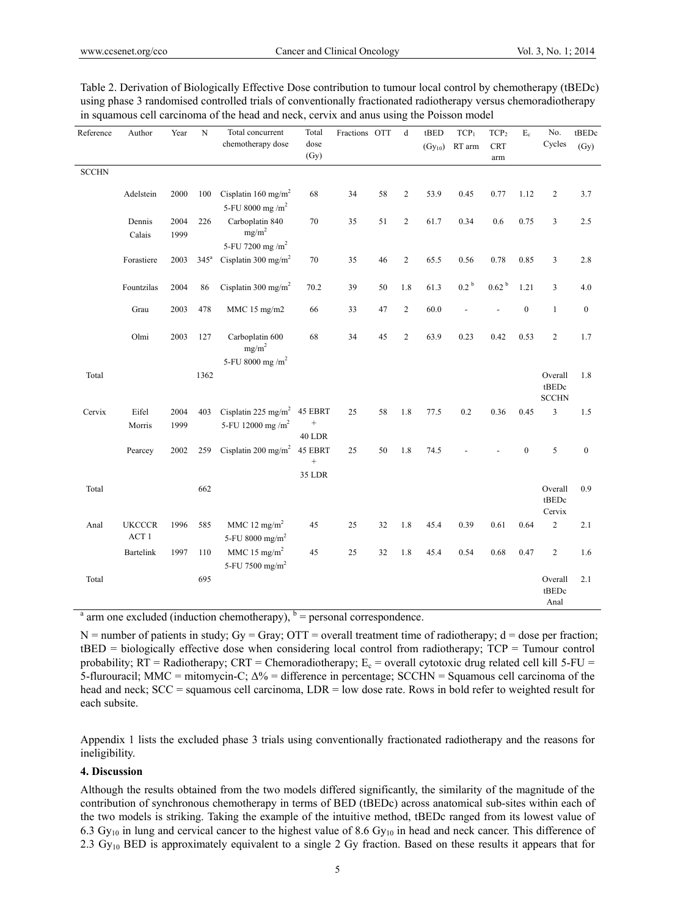| Table 2. Derivation of Biologically Effective Dose contribution to tumour local control by chemotherapy (tBEDc) |
|-----------------------------------------------------------------------------------------------------------------|
| using phase 3 randomised controlled trials of conventionally fractionated radiotherapy versus chemoradiotherapy |
| in squamous cell carcinoma of the head and neck, cervix and anus using the Poisson model                        |

| Reference    | Author                 | Year         | $\overline{N}$ | Total concurrent<br>chemotherapy dose                           | Total<br>dose<br>(Gy)                 | Fractions OTT |    | d              | tBED<br>$(Gy_{10})$ | $TCP_1$<br>RT arm | TCP <sub>2</sub><br><b>CRT</b><br>arm | $\rm E_c$        | No.<br>Cycles                    | tBEDc<br>(Gy)    |
|--------------|------------------------|--------------|----------------|-----------------------------------------------------------------|---------------------------------------|---------------|----|----------------|---------------------|-------------------|---------------------------------------|------------------|----------------------------------|------------------|
| <b>SCCHN</b> |                        |              |                |                                                                 |                                       |               |    |                |                     |                   |                                       |                  |                                  |                  |
|              | Adelstein              | 2000         | 100            | Cisplatin $160$ mg/m <sup>2</sup><br>5-FU 8000 mg / $m^2$       | 68                                    | 34            | 58 | $\overline{2}$ | 53.9                | 0.45              | 0.77                                  | 1.12             | $\overline{2}$                   | 3.7              |
|              | Dennis<br>Calais       | 2004<br>1999 | 226            | Carboplatin 840<br>mg/m <sup>2</sup><br>5-FU 7200 mg / $m^2$    | 70                                    | 35            | 51 | $\overline{c}$ | 61.7                | 0.34              | 0.6                                   | 0.75             | 3                                | 2.5              |
|              | Forastiere             | 2003         | $345^a$        | Cisplatin 300 mg/m <sup>2</sup>                                 | 70                                    | 35            | 46 | $\overline{c}$ | 65.5                | 0.56              | 0.78                                  | 0.85             | 3                                | 2.8              |
|              | Fountzilas             | 2004         | 86             | Cisplatin 300 mg/m <sup>2</sup>                                 | 70.2                                  | 39            | 50 | 1.8            | 61.3                | $0.2$ $^{\rm b}$  | $0.62$ $^{\rm b}$                     | 1.21             | 3                                | 4.0              |
|              | Grau                   | 2003         | 478            | MMC 15 mg/m2                                                    | 66                                    | 33            | 47 | $\mathbf{2}$   | 60.0                | $\overline{a}$    |                                       | $\boldsymbol{0}$ | $\mathbf{1}$                     | $\boldsymbol{0}$ |
|              | Olmi                   | 2003         | 127            | Carboplatin 600<br>mg/m <sup>2</sup><br>5-FU 8000 mg / $m^2$    | 68                                    | 34            | 45 | $\overline{c}$ | 63.9                | 0.23              | 0.42                                  | 0.53             | $\overline{2}$                   | 1.7              |
| Total        |                        |              | 1362           |                                                                 |                                       |               |    |                |                     |                   |                                       |                  | Overall<br>tBEDc<br><b>SCCHN</b> | 1.8              |
| Cervix       | Eifel<br>Morris        | 2004<br>1999 | 403            | Cisplatin 225 mg/m <sup>2</sup><br>5-FU 12000 mg/m <sup>2</sup> | 45 EBRT<br>$^{+}$<br>40 LDR           | 25            | 58 | 1.8            | 77.5                | 0.2               | 0.36                                  | 0.45             | 3                                | 1.5              |
|              | Pearcey                | 2002         | 259            | Cisplatin 200 mg/m <sup>2</sup>                                 | 45 EBRT<br>$\! + \!$<br><b>35 LDR</b> | 25            | 50 | 1.8            | 74.5                |                   |                                       | $\boldsymbol{0}$ | 5                                | $\mathbf{0}$     |
| Total        |                        |              | 662            |                                                                 |                                       |               |    |                |                     |                   |                                       |                  | Overall<br>tBEDc<br>Cervix       | 0.9              |
| Anal         | <b>UKCCCR</b><br>ACT 1 | 1996         | 585            | MMC 12 mg/m <sup>2</sup><br>5-FU 8000 mg/m <sup>2</sup>         | 45                                    | 25            | 32 | 1.8            | 45.4                | 0.39              | 0.61                                  | 0.64             | $\overline{c}$                   | 2.1              |
|              | Bartelink              | 1997         | 110            | MMC 15 mg/m <sup>2</sup><br>5-FU 7500 mg/m <sup>2</sup>         | 45                                    | 25            | 32 | 1.8            | 45.4                | 0.54              | 0.68                                  | 0.47             | $\overline{c}$                   | 1.6              |
| Total        |                        |              | 695            |                                                                 |                                       |               |    |                |                     |                   |                                       |                  | Overall<br>tBEDc<br>Anal         | 2.1              |

<sup>a</sup> arm one excluded (induction chemotherapy),  $\bar{b}$  = personal correspondence.

 $N =$  number of patients in study;  $Gy = Gray$ ;  $OTT =$  overall treatment time of radiotherapy;  $d =$  dose per fraction; tBED = biologically effective dose when considering local control from radiotherapy; TCP = Tumour control probability;  $RT =$  Radiotherapy;  $CRT =$  Chemoradiotherapy;  $E_c =$  overall cytotoxic drug related cell kill 5-FU = 5-flurouracil; MMC = mitomycin-C; Δ% = difference in percentage; SCCHN = Squamous cell carcinoma of the head and neck; SCC = squamous cell carcinoma, LDR = low dose rate. Rows in bold refer to weighted result for each subsite.

Appendix 1 lists the excluded phase 3 trials using conventionally fractionated radiotherapy and the reasons for ineligibility.

## **4. Discussion**

Although the results obtained from the two models differed significantly, the similarity of the magnitude of the contribution of synchronous chemotherapy in terms of BED (tBEDc) across anatomical sub-sites within each of the two models is striking. Taking the example of the intuitive method, tBEDc ranged from its lowest value of 6.3  $Gy_{10}$  in lung and cervical cancer to the highest value of 8.6  $Gy_{10}$  in head and neck cancer. This difference of 2.3 Gy10 BED is approximately equivalent to a single 2 Gy fraction. Based on these results it appears that for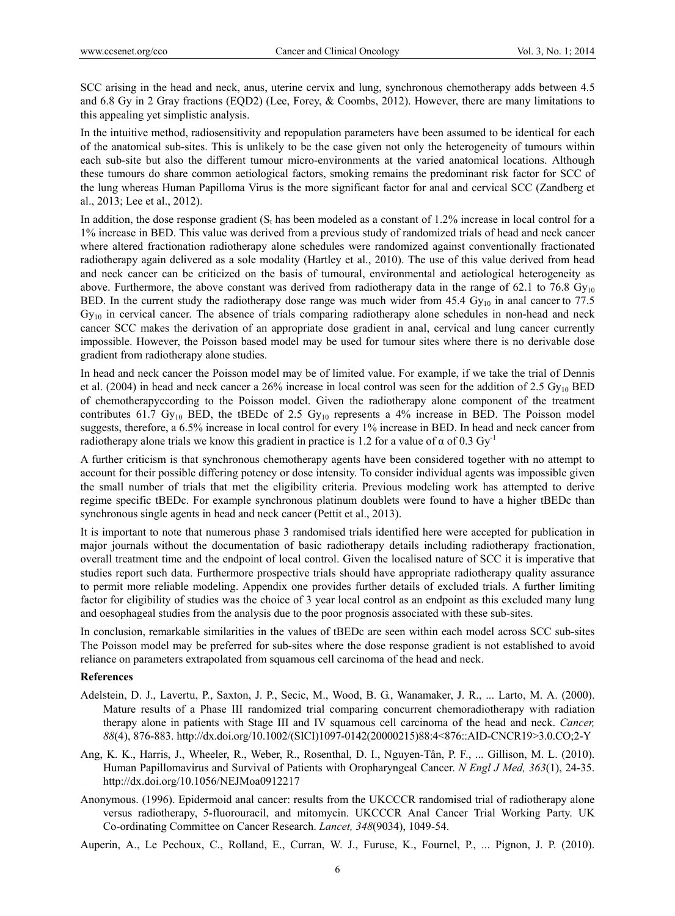SCC arising in the head and neck, anus, uterine cervix and lung, synchronous chemotherapy adds between 4.5 and 6.8 Gy in 2 Gray fractions (EQD2) (Lee, Forey, & Coombs, 2012). However, there are many limitations to this appealing yet simplistic analysis.

In the intuitive method, radiosensitivity and repopulation parameters have been assumed to be identical for each of the anatomical sub-sites. This is unlikely to be the case given not only the heterogeneity of tumours within each sub-site but also the different tumour micro-environments at the varied anatomical locations. Although these tumours do share common aetiological factors, smoking remains the predominant risk factor for SCC of the lung whereas Human Papilloma Virus is the more significant factor for anal and cervical SCC (Zandberg et al., 2013; Lee et al., 2012).

In addition, the dose response gradient  $(S_t)$  has been modeled as a constant of 1.2% increase in local control for a 1% increase in BED. This value was derived from a previous study of randomized trials of head and neck cancer where altered fractionation radiotherapy alone schedules were randomized against conventionally fractionated radiotherapy again delivered as a sole modality (Hartley et al., 2010). The use of this value derived from head and neck cancer can be criticized on the basis of tumoural, environmental and aetiological heterogeneity as above. Furthermore, the above constant was derived from radiotherapy data in the range of 62.1 to 76.8  $Gy_{10}$ BED. In the current study the radiotherapy dose range was much wider from 45.4 Gy<sub>10</sub> in anal cancer to 77.5  $Gy_{10}$  in cervical cancer. The absence of trials comparing radiotherapy alone schedules in non-head and neck cancer SCC makes the derivation of an appropriate dose gradient in anal, cervical and lung cancer currently impossible. However, the Poisson based model may be used for tumour sites where there is no derivable dose gradient from radiotherapy alone studies.

In head and neck cancer the Poisson model may be of limited value. For example, if we take the trial of Dennis et al. (2004) in head and neck cancer a 26% increase in local control was seen for the addition of 2.5 Gy10 BED of chemotherapyccording to the Poisson model. Given the radiotherapy alone component of the treatment contributes 61.7 Gy<sub>10</sub> BED, the tBEDc of 2.5 Gy<sub>10</sub> represents a 4% increase in BED. The Poisson model suggests, therefore, a 6.5% increase in local control for every 1% increase in BED. In head and neck cancer from radiotherapy alone trials we know this gradient in practice is 1.2 for a value of  $\alpha$  of 0.3 Gy<sup>-1</sup>

A further criticism is that synchronous chemotherapy agents have been considered together with no attempt to account for their possible differing potency or dose intensity. To consider individual agents was impossible given the small number of trials that met the eligibility criteria. Previous modeling work has attempted to derive regime specific tBEDc. For example synchronous platinum doublets were found to have a higher tBEDc than synchronous single agents in head and neck cancer (Pettit et al., 2013).

It is important to note that numerous phase 3 randomised trials identified here were accepted for publication in major journals without the documentation of basic radiotherapy details including radiotherapy fractionation, overall treatment time and the endpoint of local control. Given the localised nature of SCC it is imperative that studies report such data. Furthermore prospective trials should have appropriate radiotherapy quality assurance to permit more reliable modeling. Appendix one provides further details of excluded trials. A further limiting factor for eligibility of studies was the choice of 3 year local control as an endpoint as this excluded many lung and oesophageal studies from the analysis due to the poor prognosis associated with these sub-sites.

In conclusion, remarkable similarities in the values of tBEDc are seen within each model across SCC sub-sites The Poisson model may be preferred for sub-sites where the dose response gradient is not established to avoid reliance on parameters extrapolated from squamous cell carcinoma of the head and neck.

#### **References**

- Adelstein, D. J., Lavertu, P., Saxton, J. P., Secic, M., Wood, B. G., Wanamaker, J. R., ... Larto, M. A. (2000). Mature results of a Phase III randomized trial comparing concurrent chemoradiotherapy with radiation therapy alone in patients with Stage III and IV squamous cell carcinoma of the head and neck. *Cancer, 88*(4), 876-883. http://dx.doi.org/10.1002/(SICI)1097-0142(20000215)88:4<876::AID-CNCR19>3.0.CO;2-Y
- Ang, K. K., Harris, J., Wheeler, R., Weber, R., Rosenthal, D. I., Nguyen-Tân, P. F., ... Gillison, M. L. (2010). Human Papillomavirus and Survival of Patients with Oropharyngeal Cancer. *N Engl J Med, 363*(1), 24-35. http://dx.doi.org/10.1056/NEJMoa0912217
- Anonymous. (1996). Epidermoid anal cancer: results from the UKCCCR randomised trial of radiotherapy alone versus radiotherapy, 5-fluorouracil, and mitomycin. UKCCCR Anal Cancer Trial Working Party. UK Co-ordinating Committee on Cancer Research. *Lancet, 348*(9034), 1049-54.
- Auperin, A., Le Pechoux, C., Rolland, E., Curran, W. J., Furuse, K., Fournel, P., ... Pignon, J. P. (2010).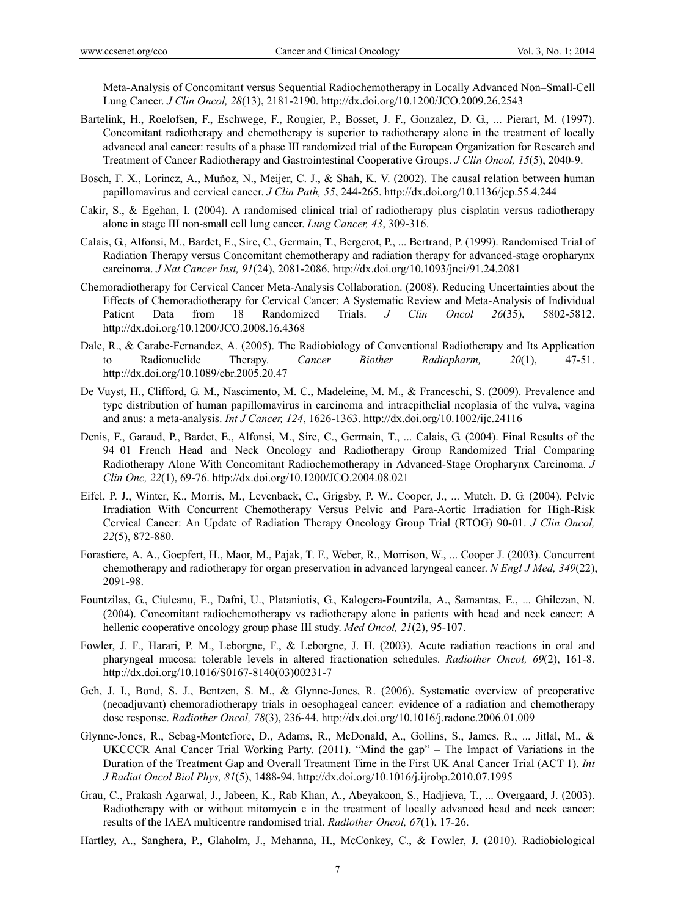Meta-Analysis of Concomitant versus Sequential Radiochemotherapy in Locally Advanced Non–Small-Cell Lung Cancer. *J Clin Oncol, 28*(13), 2181-2190. http://dx.doi.org/10.1200/JCO.2009.26.2543

- Bartelink, H., Roelofsen, F., Eschwege, F., Rougier, P., Bosset, J. F., Gonzalez, D. G., ... Pierart, M. (1997). Concomitant radiotherapy and chemotherapy is superior to radiotherapy alone in the treatment of locally advanced anal cancer: results of a phase III randomized trial of the European Organization for Research and Treatment of Cancer Radiotherapy and Gastrointestinal Cooperative Groups. *J Clin Oncol, 15*(5), 2040-9.
- Bosch, F. X., Lorincz, A., Muñoz, N., Meijer, C. J., & Shah, K. V. (2002). The causal relation between human papillomavirus and cervical cancer. *J Clin Path, 55*, 244-265. http://dx.doi.org/10.1136/jcp.55.4.244
- Cakir, S., & Egehan, I. (2004). A randomised clinical trial of radiotherapy plus cisplatin versus radiotherapy alone in stage III non-small cell lung cancer. *Lung Cancer, 43*, 309-316.
- Calais, G., Alfonsi, M., Bardet, E., Sire, C., Germain, T., Bergerot, P., ... Bertrand, P. (1999). Randomised Trial of Radiation Therapy versus Concomitant chemotherapy and radiation therapy for advanced-stage oropharynx carcinoma. *J Nat Cancer Inst, 91*(24), 2081-2086. http://dx.doi.org/10.1093/jnci/91.24.2081
- Chemoradiotherapy for Cervical Cancer Meta-Analysis Collaboration. (2008). Reducing Uncertainties about the Effects of Chemoradiotherapy for Cervical Cancer: A Systematic Review and Meta-Analysis of Individual Patient Data from 18 Randomized Trials. *J Clin Oncol 26*(35), 5802-5812. http://dx.doi.org/10.1200/JCO.2008.16.4368
- Dale, R., & Carabe-Fernandez, A. (2005). The Radiobiology of Conventional Radiotherapy and Its Application to Radionuclide Therapy. *Cancer Biother Radiopharm, 20*(1), 47-51. http://dx.doi.org/10.1089/cbr.2005.20.47
- De Vuyst, H., Clifford, G. M., Nascimento, M. C., Madeleine, M. M., & Franceschi, S. (2009). Prevalence and type distribution of human papillomavirus in carcinoma and intraepithelial neoplasia of the vulva, vagina and anus: a meta-analysis. *Int J Cancer, 124*, 1626-1363. http://dx.doi.org/10.1002/ijc.24116
- Denis, F., Garaud, P., Bardet, E., Alfonsi, M., Sire, C., Germain, T., ... Calais, G. (2004). Final Results of the 94–01 French Head and Neck Oncology and Radiotherapy Group Randomized Trial Comparing Radiotherapy Alone With Concomitant Radiochemotherapy in Advanced-Stage Oropharynx Carcinoma. *J Clin Onc, 22*(1), 69-76. http://dx.doi.org/10.1200/JCO.2004.08.021
- Eifel, P. J., Winter, K., Morris, M., Levenback, C., Grigsby, P. W., Cooper, J., ... Mutch, D. G. (2004). Pelvic Irradiation With Concurrent Chemotherapy Versus Pelvic and Para-Aortic Irradiation for High-Risk Cervical Cancer: An Update of Radiation Therapy Oncology Group Trial (RTOG) 90-01. *J Clin Oncol, 22*(5), 872-880.
- Forastiere, A. A., Goepfert, H., Maor, M., Pajak, T. F., Weber, R., Morrison, W., ... Cooper J. (2003). Concurrent chemotherapy and radiotherapy for organ preservation in advanced laryngeal cancer. *N Engl J Med, 349*(22), 2091-98.
- Fountzilas, G., Ciuleanu, E., Dafni, U., Plataniotis, G., Kalogera-Fountzila, A., Samantas, E., ... Ghilezan, N. (2004). Concomitant radiochemotherapy vs radiotherapy alone in patients with head and neck cancer: A hellenic cooperative oncology group phase III study. *Med Oncol, 21*(2), 95-107.
- Fowler, J. F., Harari, P. M., Leborgne, F., & Leborgne, J. H. (2003). Acute radiation reactions in oral and pharyngeal mucosa: tolerable levels in altered fractionation schedules. *Radiother Oncol, 69*(2), 161-8. http://dx.doi.org/10.1016/S0167-8140(03)00231-7
- Geh, J. I., Bond, S. J., Bentzen, S. M., & Glynne-Jones, R. (2006). Systematic overview of preoperative (neoadjuvant) chemoradiotherapy trials in oesophageal cancer: evidence of a radiation and chemotherapy dose response. *Radiother Oncol, 78*(3), 236-44. http://dx.doi.org/10.1016/j.radonc.2006.01.009
- Glynne-Jones, R., Sebag-Montefiore, D., Adams, R., McDonald, A., Gollins, S., James, R., ... Jitlal, M., & UKCCCR Anal Cancer Trial Working Party. (2011). "Mind the gap" – The Impact of Variations in the Duration of the Treatment Gap and Overall Treatment Time in the First UK Anal Cancer Trial (ACT 1). *Int J Radiat Oncol Biol Phys, 81*(5), 1488-94. http://dx.doi.org/10.1016/j.ijrobp.2010.07.1995
- Grau, C., Prakash Agarwal, J., Jabeen, K., Rab Khan, A., Abeyakoon, S., Hadjieva, T., ... Overgaard, J. (2003). Radiotherapy with or without mitomycin c in the treatment of locally advanced head and neck cancer: results of the IAEA multicentre randomised trial. *Radiother Oncol, 67*(1), 17-26.
- Hartley, A., Sanghera, P., Glaholm, J., Mehanna, H., McConkey, C., & Fowler, J. (2010). Radiobiological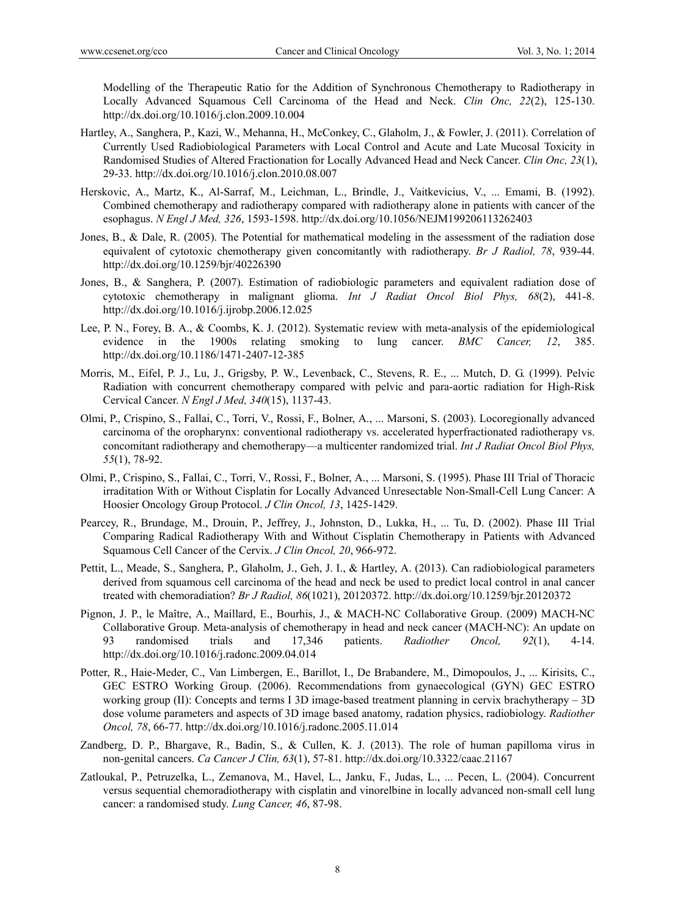Modelling of the Therapeutic Ratio for the Addition of Synchronous Chemotherapy to Radiotherapy in Locally Advanced Squamous Cell Carcinoma of the Head and Neck. *Clin Onc, 22*(2), 125-130. http://dx.doi.org/10.1016/j.clon.2009.10.004

- Hartley, A., Sanghera, P., Kazi, W., Mehanna, H., McConkey, C., Glaholm, J., & Fowler, J. (2011). Correlation of Currently Used Radiobiological Parameters with Local Control and Acute and Late Mucosal Toxicity in Randomised Studies of Altered Fractionation for Locally Advanced Head and Neck Cancer. *Clin Onc, 23*(1), 29-33. http://dx.doi.org/10.1016/j.clon.2010.08.007
- Herskovic, A., Martz, K., Al-Sarraf, M., Leichman, L., Brindle, J., Vaitkevicius, V., ... Emami, B. (1992). Combined chemotherapy and radiotherapy compared with radiotherapy alone in patients with cancer of the esophagus. *N Engl J Med, 326*, 1593-1598. http://dx.doi.org/10.1056/NEJM199206113262403
- Jones, B., & Dale, R. (2005). The Potential for mathematical modeling in the assessment of the radiation dose equivalent of cytotoxic chemotherapy given concomitantly with radiotherapy. *Br J Radiol, 78*, 939-44. http://dx.doi.org/10.1259/bjr/40226390
- Jones, B., & Sanghera, P. (2007). Estimation of radiobiologic parameters and equivalent radiation dose of cytotoxic chemotherapy in malignant glioma. *Int J Radiat Oncol Biol Phys, 68*(2), 441-8. http://dx.doi.org/10.1016/j.ijrobp.2006.12.025
- Lee, P. N., Forey, B. A., & Coombs, K. J. (2012). Systematic review with meta-analysis of the epidemiological evidence in the 1900s relating smoking to lung cancer. *BMC Cancer, 12*, 385. http://dx.doi.org/10.1186/1471-2407-12-385
- Morris, M., Eifel, P. J., Lu, J., Grigsby, P. W., Levenback, C., Stevens, R. E., ... Mutch, D. G. (1999). Pelvic Radiation with concurrent chemotherapy compared with pelvic and para-aortic radiation for High-Risk Cervical Cancer. *N Engl J Med, 340*(15), 1137-43.
- Olmi, P., Crispino, S., Fallai, C., Torri, V., Rossi, F., Bolner, A., ... Marsoni, S. (2003). Locoregionally advanced carcinoma of the oropharynx: conventional radiotherapy vs. accelerated hyperfractionated radiotherapy vs. concomitant radiotherapy and chemotherapy—a multicenter randomized trial. *Int J Radiat Oncol Biol Phys, 55*(1), 78-92.
- Olmi, P., Crispino, S., Fallai, C., Torri, V., Rossi, F., Bolner, A., ... Marsoni, S. (1995). Phase III Trial of Thoracic irraditation With or Without Cisplatin for Locally Advanced Unresectable Non-Small-Cell Lung Cancer: A Hoosier Oncology Group Protocol. *J Clin Oncol, 13*, 1425-1429.
- Pearcey, R., Brundage, M., Drouin, P., Jeffrey, J., Johnston, D., Lukka, H., ... Tu, D. (2002). Phase III Trial Comparing Radical Radiotherapy With and Without Cisplatin Chemotherapy in Patients with Advanced Squamous Cell Cancer of the Cervix. *J Clin Oncol, 20*, 966-972.
- Pettit, L., Meade, S., Sanghera, P., Glaholm, J., Geh, J. I., & Hartley, A. (2013). Can radiobiological parameters derived from squamous cell carcinoma of the head and neck be used to predict local control in anal cancer treated with chemoradiation? *Br J Radiol, 86*(1021), 20120372. http://dx.doi.org/10.1259/bjr.20120372
- Pignon, J. P., le Maître, A., Maillard, E., Bourhis, J., & MACH-NC Collaborative Group. (2009) MACH-NC Collaborative Group. Meta-analysis of chemotherapy in head and neck cancer (MACH-NC): An update on 93 randomised trials and 17,346 patients. *Radiother Oncol, 92*(1), 4-14. http://dx.doi.org/10.1016/j.radonc.2009.04.014
- Potter, R., Haie-Meder, C., Van Limbergen, E., Barillot, I., De Brabandere, M., Dimopoulos, J., ... Kirisits, C., GEC ESTRO Working Group. (2006). Recommendations from gynaecological (GYN) GEC ESTRO working group (II): Concepts and terms I 3D image-based treatment planning in cervix brachytherapy – 3D dose volume parameters and aspects of 3D image based anatomy, radation physics, radiobiology. *Radiother Oncol, 78*, 66-77. http://dx.doi.org/10.1016/j.radonc.2005.11.014
- Zandberg, D. P., Bhargave, R., Badin, S., & Cullen, K. J. (2013). The role of human papilloma virus in non-genital cancers. *Ca Cancer J Clin, 63*(1), 57-81. http://dx.doi.org/10.3322/caac.21167
- Zatloukal, P., Petruzelka, L., Zemanova, M., Havel, L., Janku, F., Judas, L., ... Pecen, L. (2004). Concurrent versus sequential chemoradiotherapy with cisplatin and vinorelbine in locally advanced non-small cell lung cancer: a randomised study. *Lung Cancer, 46*, 87-98.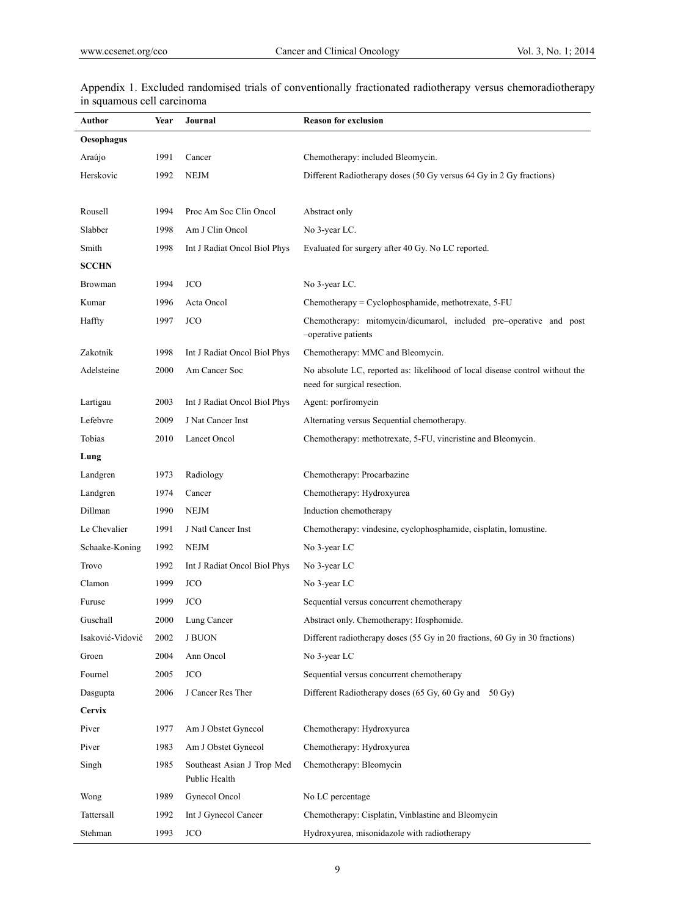| Author           | Year | Journal                                     | <b>Reason for exclusion</b>                                                                                  |
|------------------|------|---------------------------------------------|--------------------------------------------------------------------------------------------------------------|
| Oesophagus       |      |                                             |                                                                                                              |
| Araújo           | 1991 | Cancer                                      | Chemotherapy: included Bleomycin.                                                                            |
| Herskovic        | 1992 | <b>NEJM</b>                                 | Different Radiotherapy doses (50 Gy versus 64 Gy in 2 Gy fractions)                                          |
|                  |      |                                             |                                                                                                              |
| Rousell          | 1994 | Proc Am Soc Clin Oncol                      | Abstract only                                                                                                |
| Slabber          | 1998 | Am J Clin Oncol                             | No 3-year LC.                                                                                                |
| Smith            | 1998 | Int J Radiat Oncol Biol Phys                | Evaluated for surgery after 40 Gy. No LC reported.                                                           |
| <b>SCCHN</b>     |      |                                             |                                                                                                              |
| <b>Browman</b>   | 1994 | <b>JCO</b>                                  | No 3-year LC.                                                                                                |
| Kumar            | 1996 | Acta Oncol                                  | Chemotherapy = Cyclophosphamide, methotrexate, 5-FU                                                          |
| Haffty           | 1997 | JCO                                         | Chemotherapy: mitomycin/dicumarol, included pre-operative and post<br>-operative patients                    |
| Zakotnik         | 1998 | Int J Radiat Oncol Biol Phys                | Chemotherapy: MMC and Bleomycin.                                                                             |
| Adelsteine       | 2000 | Am Cancer Soc                               | No absolute LC, reported as: likelihood of local disease control without the<br>need for surgical resection. |
| Lartigau         | 2003 | Int J Radiat Oncol Biol Phys                | Agent: porfiromycin                                                                                          |
| Lefebvre         | 2009 | J Nat Cancer Inst                           | Alternating versus Sequential chemotherapy.                                                                  |
| Tobias           | 2010 | Lancet Oncol                                | Chemotherapy: methotrexate, 5-FU, vincristine and Bleomycin.                                                 |
| Lung             |      |                                             |                                                                                                              |
| Landgren         | 1973 | Radiology                                   | Chemotherapy: Procarbazine                                                                                   |
| Landgren         | 1974 | Cancer                                      | Chemotherapy: Hydroxyurea                                                                                    |
| Dillman          | 1990 | <b>NEJM</b>                                 | Induction chemotherapy                                                                                       |
| Le Chevalier     | 1991 | J Natl Cancer Inst                          | Chemotherapy: vindesine, cyclophosphamide, cisplatin, lomustine.                                             |
| Schaake-Koning   | 1992 | <b>NEJM</b>                                 | No 3-year LC                                                                                                 |
| Trovo            | 1992 | Int J Radiat Oncol Biol Phys                | No 3-year LC                                                                                                 |
| Clamon           | 1999 | <b>JCO</b>                                  | No 3-year LC                                                                                                 |
| Furuse           | 1999 | <b>JCO</b>                                  | Sequential versus concurrent chemotherapy                                                                    |
| Guschall         | 2000 | Lung Cancer                                 | Abstract only. Chemotherapy: Ifosphomide.                                                                    |
| Isaković-Vidović | 2002 | <b>J BUON</b>                               | Different radiotherapy doses (55 Gy in 20 fractions, 60 Gy in 30 fractions)                                  |
| Groen            | 2004 | Ann Oncol                                   | No 3-year LC                                                                                                 |
| Fournel          | 2005 | JCO                                         | Sequential versus concurrent chemotherapy                                                                    |
| Dasgupta         | 2006 | J Cancer Res Ther                           | Different Radiotherapy doses (65 Gy, 60 Gy and 50 Gy)                                                        |
| Cervix           |      |                                             |                                                                                                              |
| Piver            | 1977 | Am J Obstet Gynecol                         | Chemotherapy: Hydroxyurea                                                                                    |
| Piver            | 1983 | Am J Obstet Gynecol                         | Chemotherapy: Hydroxyurea                                                                                    |
| Singh            | 1985 | Southeast Asian J Trop Med<br>Public Health | Chemotherapy: Bleomycin                                                                                      |
| Wong             | 1989 | Gynecol Oncol                               | No LC percentage                                                                                             |
| Tattersall       | 1992 | Int J Gynecol Cancer                        | Chemotherapy: Cisplatin, Vinblastine and Bleomycin                                                           |
| Stehman          | 1993 | JCO                                         | Hydroxyurea, misonidazole with radiotherapy                                                                  |

Appendix 1. Excluded randomised trials of conventionally fractionated radiotherapy versus chemoradiotherapy in squamous cell carcinoma  $\overline{\phantom{a}}$